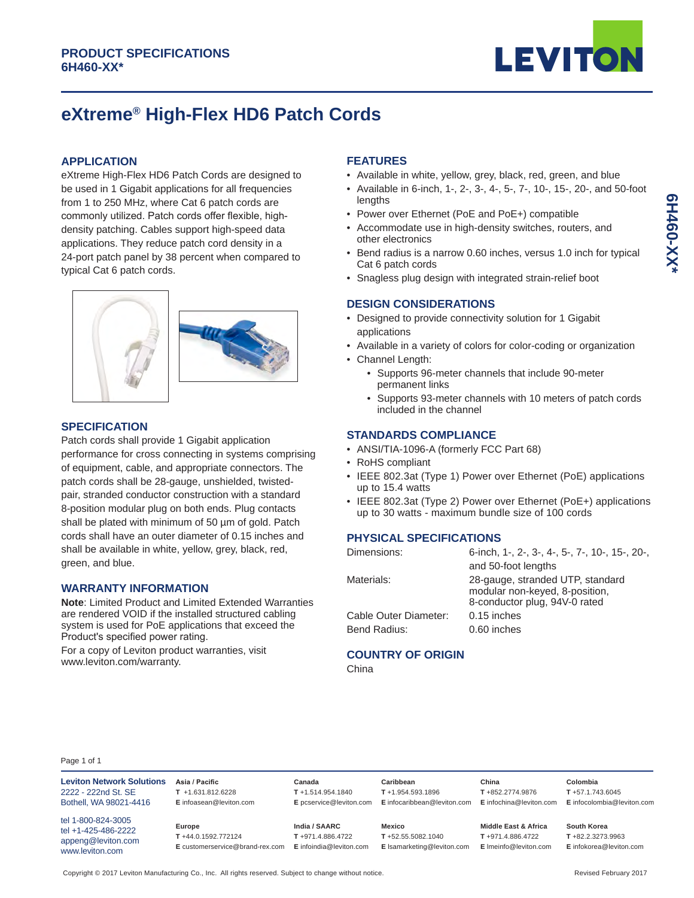

# **eXtreme® High-Flex HD6 Patch Cords**

## **APPLICATION**

eXtreme High-Flex HD6 Patch Cords are designed to be used in 1 Gigabit applications for all frequencies from 1 to 250 MHz, where Cat 6 patch cords are commonly utilized. Patch cords offer flexible, highdensity patching. Cables support high-speed data applications. They reduce patch cord density in a 24-port patch panel by 38 percent when compared to typical Cat 6 patch cords.



## **SPECIFICATION**

Patch cords shall provide 1 Gigabit application performance for cross connecting in systems comprising of equipment, cable, and appropriate connectors. The patch cords shall be 28-gauge, unshielded, twistedpair, stranded conductor construction with a standard 8-position modular plug on both ends. Plug contacts shall be plated with minimum of 50 um of gold. Patch cords shall have an outer diameter of 0.15 inches and shall be available in white, yellow, grey, black, red, green, and blue.

## **WARRANTY INFORMATION**

**Note**: Limited Product and Limited Extended Warranties are rendered VOID if the installed structured cabling system is used for PoE applications that exceed the Product's specified power rating. For a copy of Leviton product warranties, visit www.leviton.com/warranty.

# **FEATURES**

- Available in white, yellow, grey, black, red, green, and blue
- Available in 6-inch, 1-, 2-, 3-, 4-, 5-, 7-, 10-, 15-, 20-, and 50-foot lengths
- Power over Ethernet (PoE and PoE+) compatible
- Accommodate use in high-density switches, routers, and other electronics
- Bend radius is a narrow 0.60 inches, versus 1.0 inch for typical Cat 6 patch cords
- Snagless plug design with integrated strain-relief boot

# **DESIGN CONSIDERATIONS**

- Designed to provide connectivity solution for 1 Gigabit applications
- Available in a variety of colors for color-coding or organization
- Channel Length:
	- Supports 96-meter channels that include 90-meter permanent links
	- Supports 93-meter channels with 10 meters of patch cords included in the channel

#### **STANDARDS COMPLIANCE**

- ANSI/TIA-1096-A (formerly FCC Part 68)
- RoHS compliant
- IEEE 802.3at (Type 1) Power over Ethernet (PoE) applications up to 15.4 watts
- IEEE 802.3at (Type 2) Power over Ethernet (PoE+) applications up to 30 watts - maximum bundle size of 100 cords

## **PHYSICAL SPECIFICATIONS**

| Dimensions:           | 6-inch, 1-, 2-, 3-, 4-, 5-, 7-, 10-, 15-, 20-,                                                      |  |  |
|-----------------------|-----------------------------------------------------------------------------------------------------|--|--|
|                       | and 50-foot lengths                                                                                 |  |  |
| Materials:            | 28-gauge, stranded UTP, standard<br>modular non-keyed, 8-position,<br>8-conductor plug, 94V-0 rated |  |  |
| Cable Outer Diameter: | 0.15 inches                                                                                         |  |  |
| Bend Radius:          | 0.60 inches                                                                                         |  |  |
|                       |                                                                                                     |  |  |

# **COUNTRY OF ORIGIN**

China

| <b>Leviton Network Solutions</b>                                                   | Asia / Pacific                                                  | Canada                                                       | Caribbean                                                 | China                                                                 | Colombia                                                       |
|------------------------------------------------------------------------------------|-----------------------------------------------------------------|--------------------------------------------------------------|-----------------------------------------------------------|-----------------------------------------------------------------------|----------------------------------------------------------------|
| 2222 - 222nd St. SE                                                                | $T + 1.631.812.6228$                                            | $T + 1.514.954.1840$                                         | $T + 1.954.593.1896$                                      | T+852.2774.9876                                                       | $T + 57.1.743.6045$                                            |
| Bothell, WA 98021-4416                                                             | E infoasean@leviton.com                                         | E pcservice@leviton.com                                      | E infocaribbean@leviton.com                               | E infochina@leviton.com                                               | E infocolombia@leviton.com                                     |
| tel 1-800-824-3005<br>tel +1-425-486-2222<br>appeng@leviton.com<br>www.leviton.com | Europe<br>T+44.0.1592.772124<br>E customerservice@brand-rex.com | India / SAARC<br>T+971.4.886.4722<br>E infoindia@leviton.com | Mexico<br>T+52.55.5082.1040<br>E Isamarketing@leviton.com | Middle East & Africa<br>$T + 971.4.886.4722$<br>E Imeinfo@leviton.com | South Korea<br>$T + 82.2.3273.9963$<br>E infokorea@leviton.com |

Copyright © 2017 Leviton Manufacturing Co., Inc. All rights reserved. Subject to change without notice.

Revised February 2017